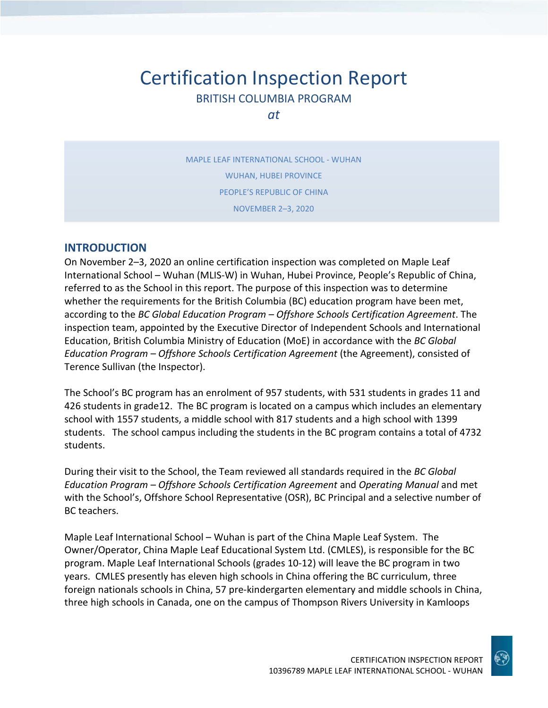# Certification Inspection Report BRITISH COLUMBIA PROGRAM

*at*

MAPLE LEAF INTERNATIONAL SCHOOL - WUHAN WUHAN, HUBEI PROVINCE PEOPLE'S REPUBLIC OF CHINA NOVEMBER 2–3, 2020

## **INTRODUCTION**

On November 2–3, 2020 an online certification inspection was completed on Maple Leaf International School – Wuhan (MLIS-W) in Wuhan, Hubei Province, People's Republic of China, referred to as the School in this report. The purpose of this inspection was to determine whether the requirements for the British Columbia (BC) education program have been met, according to the *BC Global Education Program – Offshore Schools Certification Agreement*. The inspection team, appointed by the Executive Director of Independent Schools and International Education, British Columbia Ministry of Education (MoE) in accordance with the *BC Global Education Program – Offshore Schools Certification Agreement* (the Agreement), consisted of Terence Sullivan (the Inspector).

The School's BC program has an enrolment of 957 students, with 531 students in grades 11 and 426 students in grade12. The BC program is located on a campus which includes an elementary school with 1557 students, a middle school with 817 students and a high school with 1399 students. The school campus including the students in the BC program contains a total of 4732 students.

During their visit to the School, the Team reviewed all standards required in the *BC Global Education Program – Offshore Schools Certification Agreement* and *Operating Manual* and met with the School's, Offshore School Representative (OSR), BC Principal and a selective number of BC teachers.

Maple Leaf International School – Wuhan is part of the China Maple Leaf System. The Owner/Operator, China Maple Leaf Educational System Ltd. (CMLES), is responsible for the BC program. Maple Leaf International Schools (grades 10-12) will leave the BC program in two years. CMLES presently has eleven high schools in China offering the BC curriculum, three foreign nationals schools in China, 57 pre-kindergarten elementary and middle schools in China, three high schools in Canada, one on the campus of Thompson Rivers University in Kamloops

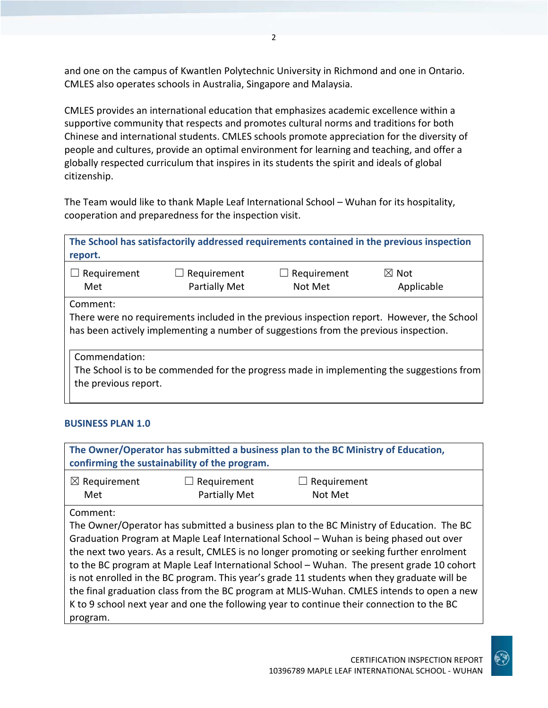and one on the campus of Kwantlen Polytechnic University in Richmond and one in Ontario. CMLES also operates schools in Australia, Singapore and Malaysia.

CMLES provides an international education that emphasizes academic excellence within a supportive community that respects and promotes cultural norms and traditions for both Chinese and international students. CMLES schools promote appreciation for the diversity of people and cultures, provide an optimal environment for learning and teaching, and offer a globally respected curriculum that inspires in its students the spirit and ideals of global citizenship.

The Team would like to thank Maple Leaf International School – Wuhan for its hospitality, cooperation and preparedness for the inspection visit.

| The School has satisfactorily addressed requirements contained in the previous inspection<br>report.                                                                                           |                                     |                        |                               |  |
|------------------------------------------------------------------------------------------------------------------------------------------------------------------------------------------------|-------------------------------------|------------------------|-------------------------------|--|
| Requirement<br>Met                                                                                                                                                                             | $\Box$ Requirement<br>Partially Met | Requirement<br>Not Met | $\boxtimes$ Not<br>Applicable |  |
| Comment:<br>There were no requirements included in the previous inspection report. However, the School<br>has been actively implementing a number of suggestions from the previous inspection. |                                     |                        |                               |  |
| Commendation:<br>The School is to be commended for the progress made in implementing the suggestions from<br>the previous report.                                                              |                                     |                        |                               |  |

#### **BUSINESS PLAN 1.0**

| The Owner/Operator has submitted a business plan to the BC Ministry of Education,<br>confirming the sustainability of the program. |                                     |                                                                                                                                                                                                                                                                                                                                                                                                                                                                                                                                                                                                                                                                        |  |
|------------------------------------------------------------------------------------------------------------------------------------|-------------------------------------|------------------------------------------------------------------------------------------------------------------------------------------------------------------------------------------------------------------------------------------------------------------------------------------------------------------------------------------------------------------------------------------------------------------------------------------------------------------------------------------------------------------------------------------------------------------------------------------------------------------------------------------------------------------------|--|
| $\boxtimes$ Requirement<br>Met                                                                                                     | Requirement<br><b>Partially Met</b> | Requirement<br>Not Met                                                                                                                                                                                                                                                                                                                                                                                                                                                                                                                                                                                                                                                 |  |
| Comment:<br>program.                                                                                                               |                                     | The Owner/Operator has submitted a business plan to the BC Ministry of Education. The BC<br>Graduation Program at Maple Leaf International School - Wuhan is being phased out over<br>the next two years. As a result, CMLES is no longer promoting or seeking further enrolment<br>to the BC program at Maple Leaf International School - Wuhan. The present grade 10 cohort<br>is not enrolled in the BC program. This year's grade 11 students when they graduate will be<br>the final graduation class from the BC program at MLIS-Wuhan. CMLES intends to open a new<br>K to 9 school next year and one the following year to continue their connection to the BC |  |

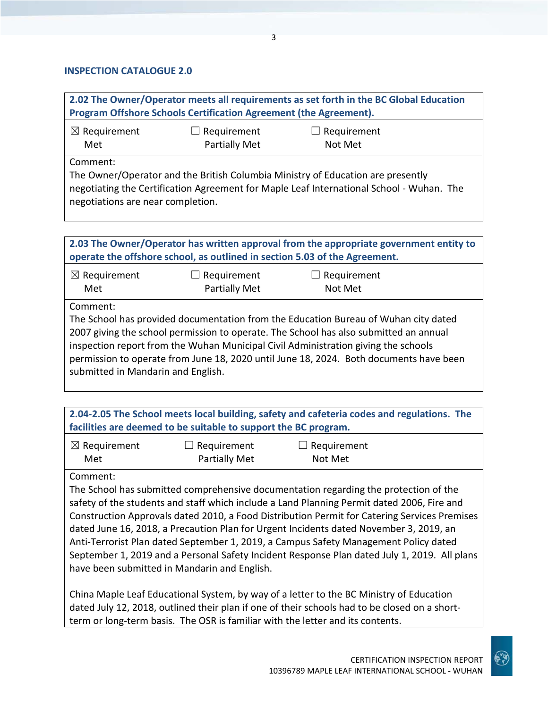#### **INSPECTION CATALOGUE 2.0**

**2.02 The Owner/Operator meets all requirements as set forth in the BC Global Education Program Offshore Schools Certification Agreement (the Agreement).**

| $\boxtimes$ Requirement | $\Box$ Requirement | $\Box$ Requirement |  |
|-------------------------|--------------------|--------------------|--|
| Met                     | Partially Met      | Not Met            |  |
|                         |                    |                    |  |

Comment:

The Owner/Operator and the British Columbia Ministry of Education are presently negotiating the Certification Agreement for Maple Leaf International School - Wuhan. The negotiations are near completion.

| 2.03 The Owner/Operator has written approval from the appropriate government entity to<br>operate the offshore school, as outlined in section 5.03 of the Agreement. |                                     |                                                                                                                                                                                                                                                                                                                                                              |  |
|----------------------------------------------------------------------------------------------------------------------------------------------------------------------|-------------------------------------|--------------------------------------------------------------------------------------------------------------------------------------------------------------------------------------------------------------------------------------------------------------------------------------------------------------------------------------------------------------|--|
| $\boxtimes$ Requirement<br>Met                                                                                                                                       | Requirement<br><b>Partially Met</b> | Requirement<br>Not Met                                                                                                                                                                                                                                                                                                                                       |  |
| Comment:<br>submitted in Mandarin and English.                                                                                                                       |                                     | The School has provided documentation from the Education Bureau of Wuhan city dated<br>2007 giving the school permission to operate. The School has also submitted an annual<br>inspection report from the Wuhan Municipal Civil Administration giving the schools<br>permission to operate from June 18, 2020 until June 18, 2024. Both documents have been |  |

| 2.04-2.05 The School meets local building, safety and cafeteria codes and regulations. The |  |
|--------------------------------------------------------------------------------------------|--|
| facilities are deemed to be suitable to support the BC program.                            |  |

| $\boxtimes$ Requirement | $\Box$ Requirement | $\Box$ Requirement |
|-------------------------|--------------------|--------------------|
| Met                     | Partially Met      | Not Met            |

#### Comment:

The School has submitted comprehensive documentation regarding the protection of the safety of the students and staff which include a Land Planning Permit dated 2006, Fire and Construction Approvals dated 2010, a Food Distribution Permit for Catering Services Premises dated June 16, 2018, a Precaution Plan for Urgent Incidents dated November 3, 2019, an Anti-Terrorist Plan dated September 1, 2019, a Campus Safety Management Policy dated September 1, 2019 and a Personal Safety Incident Response Plan dated July 1, 2019. All plans have been submitted in Mandarin and English.

China Maple Leaf Educational System, by way of a letter to the BC Ministry of Education dated July 12, 2018, outlined their plan if one of their schools had to be closed on a shortterm or long-term basis. The OSR is familiar with the letter and its contents.

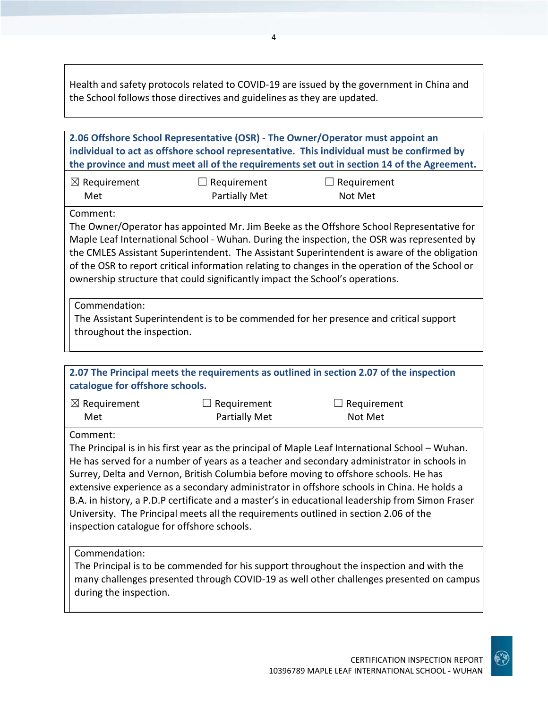Health and safety protocols related to COVID-19 are issued by the government in China and the School follows those directives and guidelines as they are updated.

| 2.06 Offshore School Representative (OSR) - The Owner/Operator must appoint an<br>individual to act as offshore school representative. This individual must be confirmed by<br>the province and must meet all of the requirements set out in section 14 of the Agreement.                                                                                                                                                                                                            |                                            |                                                                                                                                                                                                                                                                                                                                                                                                                                                                                                                                                                                |  |  |
|--------------------------------------------------------------------------------------------------------------------------------------------------------------------------------------------------------------------------------------------------------------------------------------------------------------------------------------------------------------------------------------------------------------------------------------------------------------------------------------|--------------------------------------------|--------------------------------------------------------------------------------------------------------------------------------------------------------------------------------------------------------------------------------------------------------------------------------------------------------------------------------------------------------------------------------------------------------------------------------------------------------------------------------------------------------------------------------------------------------------------------------|--|--|
| $\boxtimes$ Requirement<br>Met                                                                                                                                                                                                                                                                                                                                                                                                                                                       | $\Box$ Requirement<br><b>Partially Met</b> | Requirement<br>Not Met                                                                                                                                                                                                                                                                                                                                                                                                                                                                                                                                                         |  |  |
| Comment:<br>The Owner/Operator has appointed Mr. Jim Beeke as the Offshore School Representative for<br>Maple Leaf International School - Wuhan. During the inspection, the OSR was represented by<br>the CMLES Assistant Superintendent. The Assistant Superintendent is aware of the obligation<br>of the OSR to report critical information relating to changes in the operation of the School or<br>ownership structure that could significantly impact the School's operations. |                                            |                                                                                                                                                                                                                                                                                                                                                                                                                                                                                                                                                                                |  |  |
| Commendation:<br>throughout the inspection.                                                                                                                                                                                                                                                                                                                                                                                                                                          |                                            | The Assistant Superintendent is to be commended for her presence and critical support                                                                                                                                                                                                                                                                                                                                                                                                                                                                                          |  |  |
|                                                                                                                                                                                                                                                                                                                                                                                                                                                                                      |                                            |                                                                                                                                                                                                                                                                                                                                                                                                                                                                                                                                                                                |  |  |
| catalogue for offshore schools.                                                                                                                                                                                                                                                                                                                                                                                                                                                      |                                            | 2.07 The Principal meets the requirements as outlined in section 2.07 of the inspection                                                                                                                                                                                                                                                                                                                                                                                                                                                                                        |  |  |
| $\boxtimes$ Requirement<br>Met                                                                                                                                                                                                                                                                                                                                                                                                                                                       | Requirement<br><b>Partially Met</b>        | $\Box$ Requirement<br>Not Met                                                                                                                                                                                                                                                                                                                                                                                                                                                                                                                                                  |  |  |
| Comment:<br>inspection catalogue for offshore schools.                                                                                                                                                                                                                                                                                                                                                                                                                               |                                            | The Principal is in his first year as the principal of Maple Leaf International School – Wuhan.<br>He has served for a number of years as a teacher and secondary administrator in schools in<br>Surrey, Delta and Vernon, British Columbia before moving to offshore schools. He has<br>extensive experience as a secondary administrator in offshore schools in China. He holds a<br>B.A. in history, a P.D.P certificate and a master's in educational leadership from Simon Fraser<br>University. The Principal meets all the requirements outlined in section 2.06 of the |  |  |
| Commendation:<br>during the inspection.                                                                                                                                                                                                                                                                                                                                                                                                                                              |                                            | The Principal is to be commended for his support throughout the inspection and with the<br>many challenges presented through COVID-19 as well other challenges presented on campus                                                                                                                                                                                                                                                                                                                                                                                             |  |  |

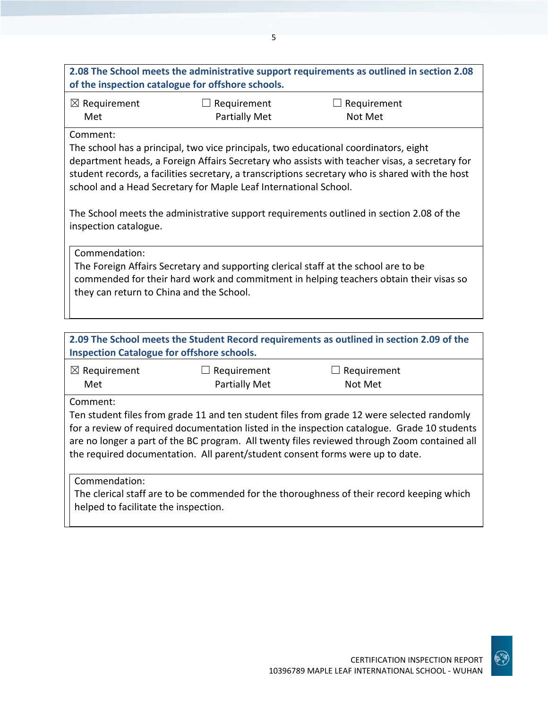# **2.08 The School meets the administrative support requirements as outlined in section 2.08 of the inspection catalogue for offshore schools.**

5

☒ Requirement Met

 $\Box$  Requirement Partially Met  $\Box$  Requirement Not Met

#### Comment:

The school has a principal, two vice principals, two educational coordinators, eight department heads, a Foreign Affairs Secretary who assists with teacher visas, a secretary for student records, a facilities secretary, a transcriptions secretary who is shared with the host school and a Head Secretary for Maple Leaf International School.

The School meets the administrative support requirements outlined in section 2.08 of the inspection catalogue.

Commendation:

The Foreign Affairs Secretary and supporting clerical staff at the school are to be commended for their hard work and commitment in helping teachers obtain their visas so they can return to China and the School.

# **2.09 The School meets the Student Record requirements as outlined in section 2.09 of the Inspection Catalogue for offshore schools.**

| $\boxtimes$ Requirement | $\Box$ Requirement   | $\Box$ Requirement |
|-------------------------|----------------------|--------------------|
| Met                     | <b>Partially Met</b> | Not Met            |

Comment:

Ten student files from grade 11 and ten student files from grade 12 were selected randomly for a review of required documentation listed in the inspection catalogue. Grade 10 students are no longer a part of the BC program. All twenty files reviewed through Zoom contained all the required documentation. All parent/student consent forms were up to date.

Commendation:

The clerical staff are to be commended for the thoroughness of their record keeping which helped to facilitate the inspection.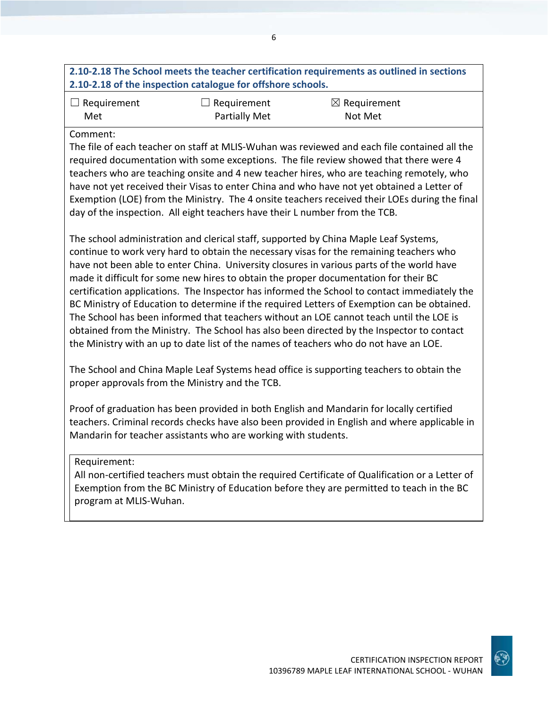# **2.10-2.18 The School meets the teacher certification requirements as outlined in sections 2.10-2.18 of the inspection catalogue for offshore schools.**

| $\Box$ Requirement | $\Box$ Requirement | $\boxtimes$ Requirement |
|--------------------|--------------------|-------------------------|
| Met                | Partially Met      | Not Met                 |

#### Comment:

The file of each teacher on staff at MLIS-Wuhan was reviewed and each file contained all the required documentation with some exceptions. The file review showed that there were 4 teachers who are teaching onsite and 4 new teacher hires, who are teaching remotely, who have not yet received their Visas to enter China and who have not yet obtained a Letter of Exemption (LOE) from the Ministry. The 4 onsite teachers received their LOEs during the final day of the inspection. All eight teachers have their L number from the TCB.

The school administration and clerical staff, supported by China Maple Leaf Systems, continue to work very hard to obtain the necessary visas for the remaining teachers who have not been able to enter China. University closures in various parts of the world have made it difficult for some new hires to obtain the proper documentation for their BC certification applications. The Inspector has informed the School to contact immediately the BC Ministry of Education to determine if the required Letters of Exemption can be obtained. The School has been informed that teachers without an LOE cannot teach until the LOE is obtained from the Ministry. The School has also been directed by the Inspector to contact the Ministry with an up to date list of the names of teachers who do not have an LOE.

The School and China Maple Leaf Systems head office is supporting teachers to obtain the proper approvals from the Ministry and the TCB.

Proof of graduation has been provided in both English and Mandarin for locally certified teachers. Criminal records checks have also been provided in English and where applicable in Mandarin for teacher assistants who are working with students.

#### Requirement:

All non-certified teachers must obtain the required Certificate of Qualification or a Letter of Exemption from the BC Ministry of Education before they are permitted to teach in the BC program at MLIS-Wuhan.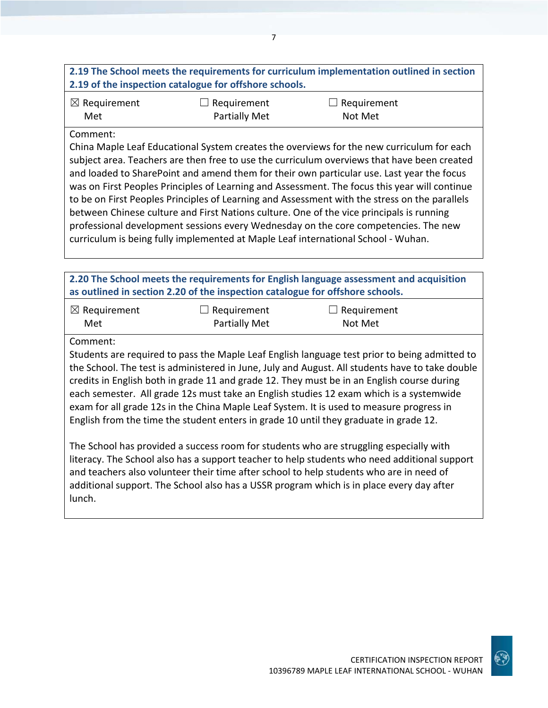# **2.19 The School meets the requirements for curriculum implementation outlined in section 2.19 of the inspection catalogue for offshore schools.**

| $\boxtimes$ Requirement | $\Box$ Requirement | $\Box$ Requirement |
|-------------------------|--------------------|--------------------|
| Met                     | Partially Met      | Not Met            |

#### Comment:

China Maple Leaf Educational System creates the overviews for the new curriculum for each subject area. Teachers are then free to use the curriculum overviews that have been created and loaded to SharePoint and amend them for their own particular use. Last year the focus was on First Peoples Principles of Learning and Assessment. The focus this year will continue to be on First Peoples Principles of Learning and Assessment with the stress on the parallels between Chinese culture and First Nations culture. One of the vice principals is running professional development sessions every Wednesday on the core competencies. The new curriculum is being fully implemented at Maple Leaf international School - Wuhan.

**2.20 The School meets the requirements for English language assessment and acquisition as outlined in section 2.20 of the inspection catalogue for offshore schools.**

| $\boxtimes$ Requirement | $\Box$ Requirement | $\Box$ Requirement |
|-------------------------|--------------------|--------------------|
| Met                     | Partially Met      | Not Met            |

#### Comment:

Students are required to pass the Maple Leaf English language test prior to being admitted to the School. The test is administered in June, July and August. All students have to take double credits in English both in grade 11 and grade 12. They must be in an English course during each semester. All grade 12s must take an English studies 12 exam which is a systemwide exam for all grade 12s in the China Maple Leaf System. It is used to measure progress in English from the time the student enters in grade 10 until they graduate in grade 12.

The School has provided a success room for students who are struggling especially with literacy. The School also has a support teacher to help students who need additional support and teachers also volunteer their time after school to help students who are in need of additional support. The School also has a USSR program which is in place every day after lunch.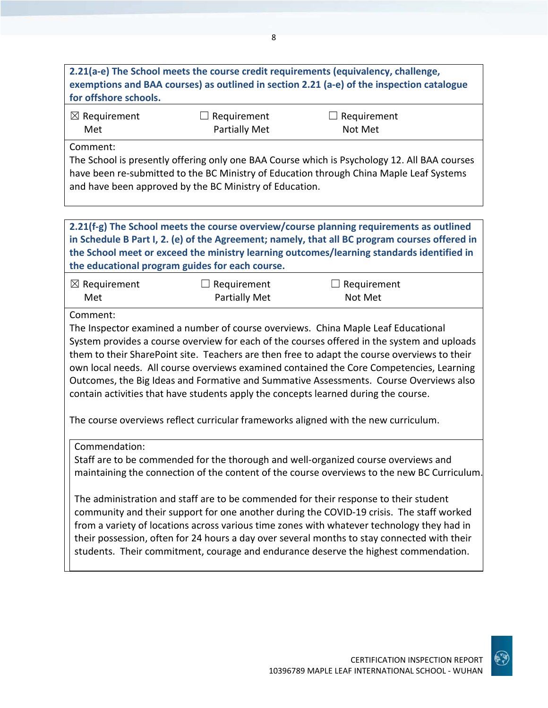# **2.21(a-e) The School meets the course credit requirements (equivalency, challenge, exemptions and BAA courses) as outlined in section 2.21 (a-e) of the inspection catalogue for offshore schools.**

| $\boxtimes$ Requirement | $\Box$ Requirement | $\Box$ Requirement |  |
|-------------------------|--------------------|--------------------|--|
| Met                     | Partially Met      | Not Met            |  |

Comment:

The School is presently offering only one BAA Course which is Psychology 12. All BAA courses have been re-submitted to the BC Ministry of Education through China Maple Leaf Systems and have been approved by the BC Ministry of Education.

**2.21(f-g) The School meets the course overview/course planning requirements as outlined in Schedule B Part I, 2. (e) of the Agreement; namely, that all BC program courses offered in the School meet or exceed the ministry learning outcomes/learning standards identified in the educational program guides for each course.**

| $\boxtimes$ Requirement | $\Box$ Requirement   | $\Box$ Requirement |  |
|-------------------------|----------------------|--------------------|--|
| Met                     | <b>Partially Met</b> | Not Met            |  |

Comment:

The Inspector examined a number of course overviews. China Maple Leaf Educational System provides a course overview for each of the courses offered in the system and uploads them to their SharePoint site. Teachers are then free to adapt the course overviews to their own local needs. All course overviews examined contained the Core Competencies, Learning Outcomes, the Big Ideas and Formative and Summative Assessments. Course Overviews also contain activities that have students apply the concepts learned during the course.

The course overviews reflect curricular frameworks aligned with the new curriculum.

Commendation:

Staff are to be commended for the thorough and well-organized course overviews and maintaining the connection of the content of the course overviews to the new BC Curriculum.

The administration and staff are to be commended for their response to their student community and their support for one another during the COVID-19 crisis. The staff worked from a variety of locations across various time zones with whatever technology they had in their possession, often for 24 hours a day over several months to stay connected with their students. Their commitment, courage and endurance deserve the highest commendation.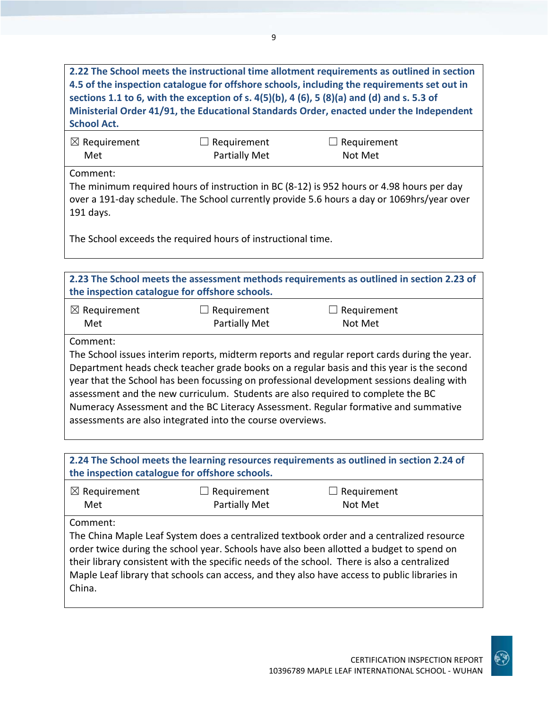**2.22 The School meets the instructional time allotment requirements as outlined in section 4.5 of the inspection catalogue for offshore schools, including the requirements set out in sections 1.1 to 6, with the exception of s. 4(5)(b), 4 (6), 5 (8)(a) and (d) and s. 5.3 of Ministerial Order 41/91, the Educational Standards Order, enacted under the Independent School Act.**

| $\boxtimes$ Requirement | $\Box$ Requirement   | $\Box$ Requirement |
|-------------------------|----------------------|--------------------|
| Met                     | <b>Partially Met</b> | Not Met            |

Comment:

The minimum required hours of instruction in BC (8-12) is 952 hours or 4.98 hours per day over a 191-day schedule. The School currently provide 5.6 hours a day or 1069hrs/year over 191 days.

The School exceeds the required hours of instructional time.

**2.23 The School meets the assessment methods requirements as outlined in section 2.23 of the inspection catalogue for offshore schools.**

| $\boxtimes$ Requirement | $\Box$ Requirement   | $\Box$ Requirement |
|-------------------------|----------------------|--------------------|
| Met                     | <b>Partially Met</b> | Not Met            |

Comment:

The School issues interim reports, midterm reports and regular report cards during the year. Department heads check teacher grade books on a regular basis and this year is the second year that the School has been focussing on professional development sessions dealing with assessment and the new curriculum. Students are also required to complete the BC Numeracy Assessment and the BC Literacy Assessment. Regular formative and summative assessments are also integrated into the course overviews.

**2.24 The School meets the learning resources requirements as outlined in section 2.24 of the inspection catalogue for offshore schools.**

| $\boxtimes$ Requirement | $\Box$ Requirement   | $\Box$ Requirement |
|-------------------------|----------------------|--------------------|
| Met                     | <b>Partially Met</b> | Not Met            |

Comment:

The China Maple Leaf System does a centralized textbook order and a centralized resource order twice during the school year. Schools have also been allotted a budget to spend on their library consistent with the specific needs of the school. There is also a centralized Maple Leaf library that schools can access, and they also have access to public libraries in China.

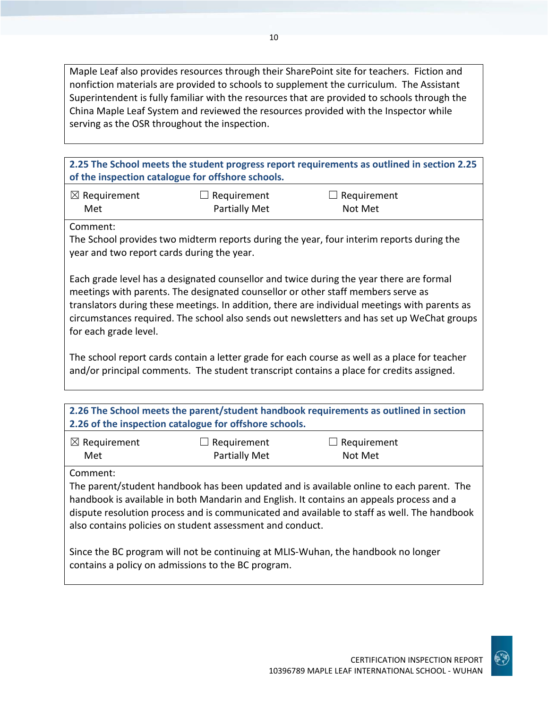Maple Leaf also provides resources through their SharePoint site for teachers. Fiction and nonfiction materials are provided to schools to supplement the curriculum. The Assistant Superintendent is fully familiar with the resources that are provided to schools through the China Maple Leaf System and reviewed the resources provided with the Inspector while serving as the OSR throughout the inspection.

**2.25 The School meets the student progress report requirements as outlined in section 2.25 of the inspection catalogue for offshore schools.**

| $\boxtimes$ Requirement | $\Box$ Requirement   | $\Box$ Requirement |
|-------------------------|----------------------|--------------------|
| Met                     | <b>Partially Met</b> | Not Met            |

Comment:

The School provides two midterm reports during the year, four interim reports during the year and two report cards during the year.

Each grade level has a designated counsellor and twice during the year there are formal meetings with parents. The designated counsellor or other staff members serve as translators during these meetings. In addition, there are individual meetings with parents as circumstances required. The school also sends out newsletters and has set up WeChat groups for each grade level.

The school report cards contain a letter grade for each course as well as a place for teacher and/or principal comments. The student transcript contains a place for credits assigned.

| 2.26 The School meets the parent/student handbook requirements as outlined in section |
|---------------------------------------------------------------------------------------|
| 2.26 of the inspection catalogue for offshore schools.                                |

| $\boxtimes$ Requirement | $\Box$ Requirement   | $\Box$ Requirement |
|-------------------------|----------------------|--------------------|
| Met                     | <b>Partially Met</b> | Not Met            |

Comment:

The parent/student handbook has been updated and is available online to each parent. The handbook is available in both Mandarin and English. It contains an appeals process and a dispute resolution process and is communicated and available to staff as well. The handbook also contains policies on student assessment and conduct.

Since the BC program will not be continuing at MLIS-Wuhan, the handbook no longer contains a policy on admissions to the BC program.

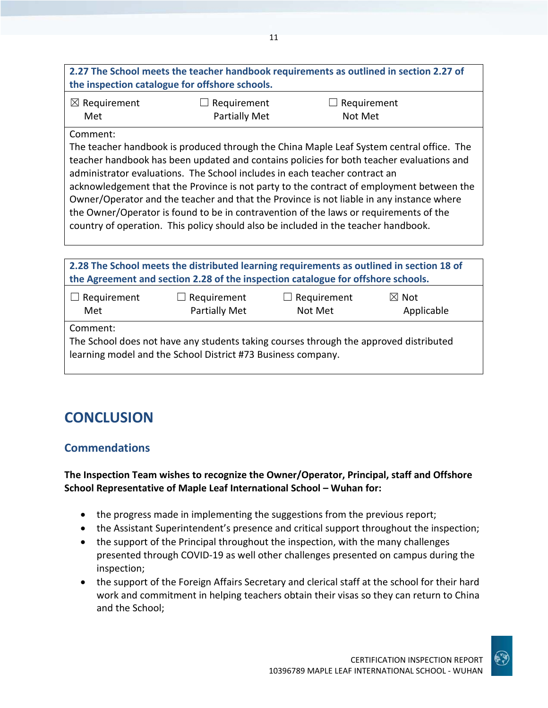# **2.27 The School meets the teacher handbook requirements as outlined in section 2.27 of the inspection catalogue for offshore schools.**

| $\boxtimes$ Requirement | $\Box$ Requirement   | $\Box$ Requirement |
|-------------------------|----------------------|--------------------|
| Met                     | <b>Partially Met</b> | Not Met            |

#### Comment:

The teacher handbook is produced through the China Maple Leaf System central office. The teacher handbook has been updated and contains policies for both teacher evaluations and administrator evaluations. The School includes in each teacher contract an acknowledgement that the Province is not party to the contract of employment between the Owner/Operator and the teacher and that the Province is not liable in any instance where the Owner/Operator is found to be in contravention of the laws or requirements of the country of operation. This policy should also be included in the teacher handbook.

| 2.28 The School meets the distributed learning requirements as outlined in section 18 of<br>the Agreement and section 2.28 of the inspection catalogue for offshore schools. |  |  |  |  |
|------------------------------------------------------------------------------------------------------------------------------------------------------------------------------|--|--|--|--|
| Requirement<br>$\Box$ Requirement<br>$\Box$ Requirement<br>$\boxtimes$ Not<br>Partially Met<br>Met<br>Not Met<br>Applicable                                                  |  |  |  |  |
| Comment:<br>The School does not have any students taking courses through the approved distributed<br>learning model and the School District #73 Business company.            |  |  |  |  |

# **CONCLUSION**

# **Commendations**

## **The Inspection Team wishes to recognize the Owner/Operator, Principal, staff and Offshore School Representative of Maple Leaf International School – Wuhan for:**

- the progress made in implementing the suggestions from the previous report;
- the Assistant Superintendent's presence and critical support throughout the inspection;
- the support of the Principal throughout the inspection, with the many challenges presented through COVID-19 as well other challenges presented on campus during the inspection;
- the support of the Foreign Affairs Secretary and clerical staff at the school for their hard work and commitment in helping teachers obtain their visas so they can return to China and the School;